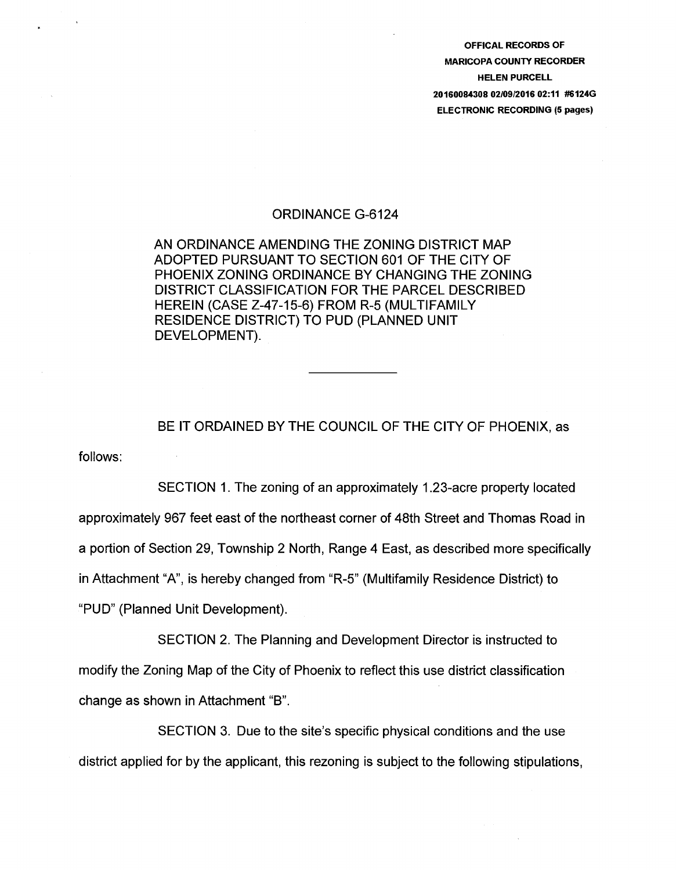OFFICAL RECORDS OF MARICOPA COUNTY RECORDER HELEN PURCELL 20160084308 02/09/2016 02:11 #6124G ELECTRONIC RECORDING (5 pages)

## ORDINANCE G-6124

AN ORDINANCE AMENDING THE ZONING DISTRICT MAP ADOPTED PURSUANT TO SECTION 601 OF THE CITY OF PHOENIX ZONING ORDINANCE BY CHANGING THE ZONING DISTRICT CLASSIFICATION FOR THE PARCEL DESCRIBED HEREIN (CASE Z-47-15-6) FROM R-5 (MULTIFAMILY RESIDENCE DISTRICT) TO PUD (PLANNED UNIT DEVELOPMENT).

follows: BE IT ORDAINED BY THE COUNCIL OF THE CITY OF PHOENIX, as

SECTION 1. The zoning of an approximately 1.23-acre property located approximately 967 feet east of the northeast corner of 48th Street and Thomas Road in a portion of Section 29, Township 2 North, Range 4 East, as described more specifically in Attachment "A", is hereby changed from "R-5" (Multifamily Residence District) to "PUD" (Planned Unit Development).

SECTION 2. The Planning and Development Director is instructed to modify the Zoning Map of the City of Phoenix to reflect this use district classification change as shown in Attachment "B".

SECTION 3. Due to the site's specific physical conditions and the use district applied for by the applicant, this rezoning is subject to the following stipulations,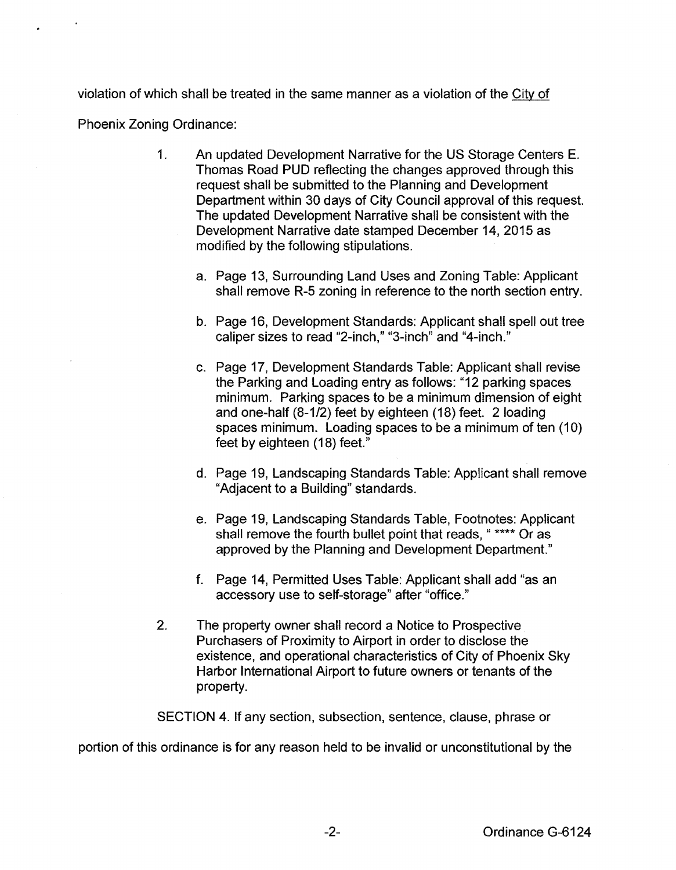violation of which shall be treated in the same manner as a violation of the City of

Phoenix Zoning Ordinance:

- 1. An updated Development Narrative for the US Storage Centers E. Thomas Road PUD reflecting the changes approved through this request shall be submitted to the Planning and Development Department within 30 days of City Council approval of this request. The updated Development Narrative shall be consistent with the Development Narrative date stamped December 14, 2015 as modified by the following stipulations.
	- a. Page 13, Surrounding Land Uses and Zoning Table: Applicant shall remove R-5 zoning in reference to the north section entry.
	- b. Page 16, Development Standards: Applicant shall spell out tree caliper sizes to read "2-inch," "3-inch" and "4-inch."
	- c. Page 17, Development Standards Table: Applicant shall revise the Parking and Loading entry as follows: "12 parking spaces minimum. Parking spaces to be a minimum dimension of eight and one-half (8-1/2) feet by eighteen {18) feet. 2 loading spaces minimum. Loading spaces to be a minimum of ten {1 0) feet by eighteen (18) feet."
	- d. Page 19, Landscaping Standards Table: Applicant shall remove "Adjacent to a Building" standards.
	- e. Page 19, Landscaping Standards Table, Footnotes: Applicant shall remove the fourth bullet point that reads, " \*\*\*\* Or as approved by the Planning and Development Department."
	- f. Page 14, Permitted Uses Table: Applicant shall add "as an accessory use to self-storage" after "office."
- 2. The property owner shall record a Notice to Prospective Purchasers of Proximity to Airport in order to disclose the existence, and operational characteristics of City of Phoenix Sky Harbor International Airport to future owners or tenants of the property.

SECTION 4. If any section, subsection, sentence, clause, phrase or

portion of this ordinance is for any reason held to be invalid or unconstitutional by the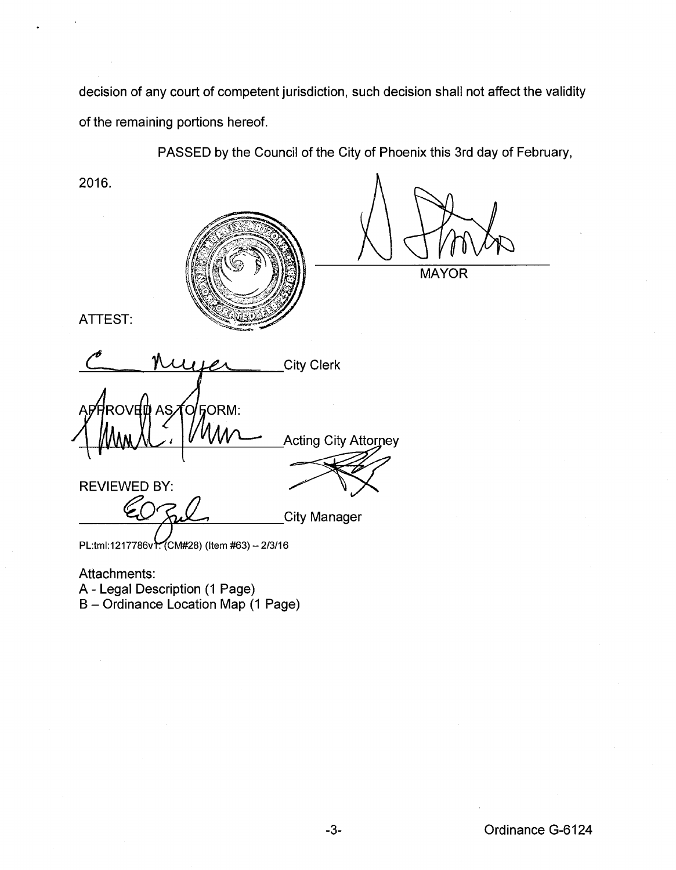decision of any court of competent jurisdiction, such decision shall not affect the validity of the remaining portions hereof.

PASSED by the Council of the City of Phoenix this 3rd day of February,

2016. **MAYOR** ATTEST: **City Clerk FORM:** ROVEID AS റ **Acting City Attorney** REVIEWED BY: **City Manager** PL:tml:1217786v . (CM#28) (Item #63) - 2/3/16 Attachments: A- Legal Description (1 Page)

B- Ordinance Location Map (1 Page)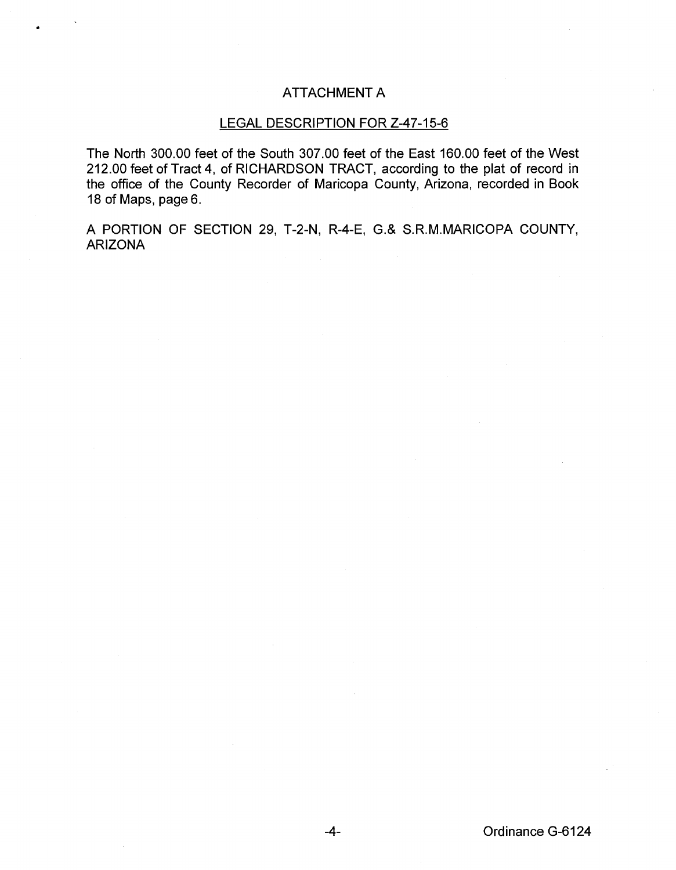## ATTACHMENT A

•

## LEGAL DESCRIPTION FOR Z-47-15-6

The North 300.00 feet of the South 307.00 feet of the East 160.00 feet of the West 212.00 feet of Tract 4, of RICHARDSON TRACT, according to the plat of record in the office of the County Recorder of Maricopa County, Arizona, recorded in Book 18 of Maps, page 6.

A PORTION OF SECTION 29, T-2-N, R-4-E, G.& S.R.M.MARICOPA COUNTY, ARIZONA